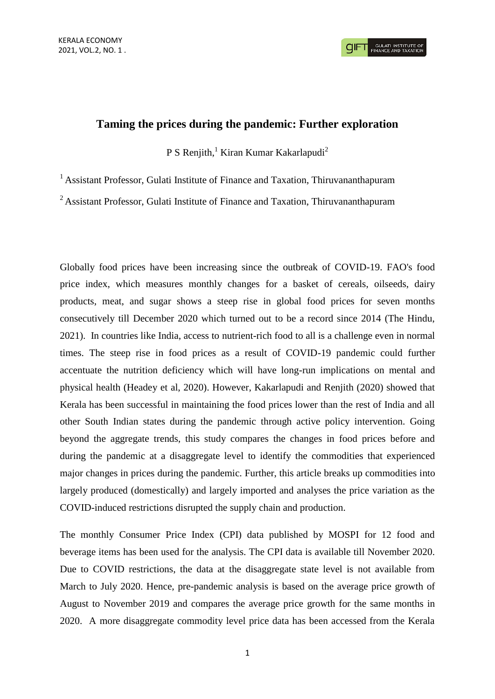# **Taming the prices during the pandemic: Further exploration**

P S Renjith,<sup>1</sup> Kiran Kumar Kakarlapudi<sup>2</sup>

<sup>1</sup> Assistant Professor, Gulati Institute of Finance and Taxation, Thiruvananthapuram

<sup>2</sup> Assistant Professor, Gulati Institute of Finance and Taxation, Thiruvananthapuram

Globally food prices have been increasing since the outbreak of COVID-19. FAO's food price index, which measures monthly changes for a basket of cereals, oilseeds, dairy products, meat, and sugar shows a steep rise in global food prices for seven months consecutively till December 2020 which turned out to be a record since 2014 (The Hindu, 2021). In countries like India, access to nutrient-rich food to all is a challenge even in normal times. The steep rise in food prices as a result of COVID-19 pandemic could further accentuate the nutrition deficiency which will have long-run implications on mental and physical health (Headey et al, 2020). However, Kakarlapudi and Renjith (2020) showed that Kerala has been successful in maintaining the food prices lower than the rest of India and all other South Indian states during the pandemic through active policy intervention. Going beyond the aggregate trends, this study compares the changes in food prices before and during the pandemic at a disaggregate level to identify the commodities that experienced major changes in prices during the pandemic. Further, this article breaks up commodities into largely produced (domestically) and largely imported and analyses the price variation as the COVID-induced restrictions disrupted the supply chain and production.

The monthly Consumer Price Index (CPI) data published by MOSPI for 12 food and beverage items has been used for the analysis. The CPI data is available till November 2020. Due to COVID restrictions, the data at the disaggregate state level is not available from March to July 2020. Hence, pre-pandemic analysis is based on the average price growth of August to November 2019 and compares the average price growth for the same months in 2020. A more disaggregate commodity level price data has been accessed from the Kerala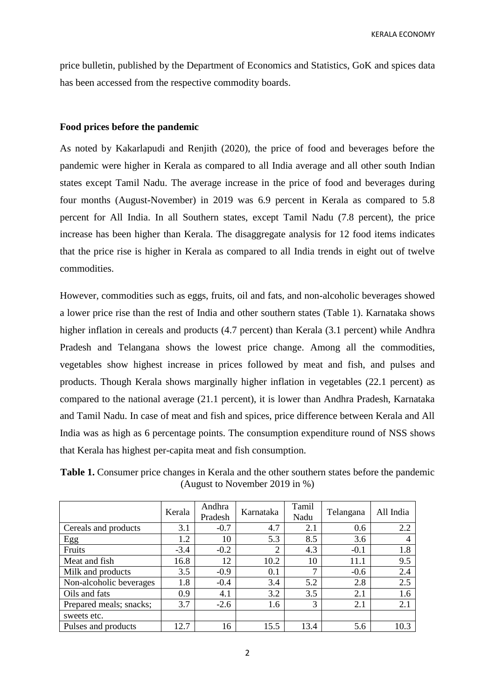price bulletin, published by the Department of Economics and Statistics, GoK and spices data has been accessed from the respective commodity boards.

### **Food prices before the pandemic**

As noted by Kakarlapudi and Renjith (2020), the price of food and beverages before the pandemic were higher in Kerala as compared to all India average and all other south Indian states except Tamil Nadu. The average increase in the price of food and beverages during four months (August-November) in 2019 was 6.9 percent in Kerala as compared to 5.8 percent for All India. In all Southern states, except Tamil Nadu (7.8 percent), the price increase has been higher than Kerala. The disaggregate analysis for 12 food items indicates that the price rise is higher in Kerala as compared to all India trends in eight out of twelve commodities.

However, commodities such as eggs, fruits, oil and fats, and non-alcoholic beverages showed a lower price rise than the rest of India and other southern states (Table 1). Karnataka shows higher inflation in cereals and products (4.7 percent) than Kerala (3.1 percent) while Andhra Pradesh and Telangana shows the lowest price change. Among all the commodities, vegetables show highest increase in prices followed by meat and fish, and pulses and products. Though Kerala shows marginally higher inflation in vegetables (22.1 percent) as compared to the national average (21.1 percent), it is lower than Andhra Pradesh, Karnataka and Tamil Nadu. In case of meat and fish and spices, price difference between Kerala and All India was as high as 6 percentage points. The consumption expenditure round of NSS shows that Kerala has highest per-capita meat and fish consumption.

**Table 1.** Consumer price changes in Kerala and the other southern states before the pandemic (August to November 2019 in %)

|                         | Kerala | Andhra<br>Pradesh | Karnataka | Tamil<br>Nadu | Telangana | All India |
|-------------------------|--------|-------------------|-----------|---------------|-----------|-----------|
| Cereals and products    | 3.1    | $-0.7$            | 4.7       | 2.1           | 0.6       | 2.2       |
| Egg                     | 1.2    | 10                | 5.3       | 8.5           | 3.6       | 4         |
| Fruits                  | $-3.4$ | $-0.2$            | 2         | 4.3           | $-0.1$    | 1.8       |
| Meat and fish           | 16.8   | 12                | 10.2      | 10            | 11.1      | 9.5       |
| Milk and products       | 3.5    | $-0.9$            | 0.1       | ⇁             | $-0.6$    | 2.4       |
| Non-alcoholic beverages | 1.8    | $-0.4$            | 3.4       | 5.2           | 2.8       | 2.5       |
| Oils and fats           | 0.9    | 4.1               | 3.2       | 3.5           | 2.1       | 1.6       |
| Prepared meals; snacks; | 3.7    | $-2.6$            | 1.6       | 3             | 2.1       | 2.1       |
| sweets etc.             |        |                   |           |               |           |           |
| Pulses and products     | 12.7   | 16                | 15.5      | 13.4          | 5.6       | 10.3      |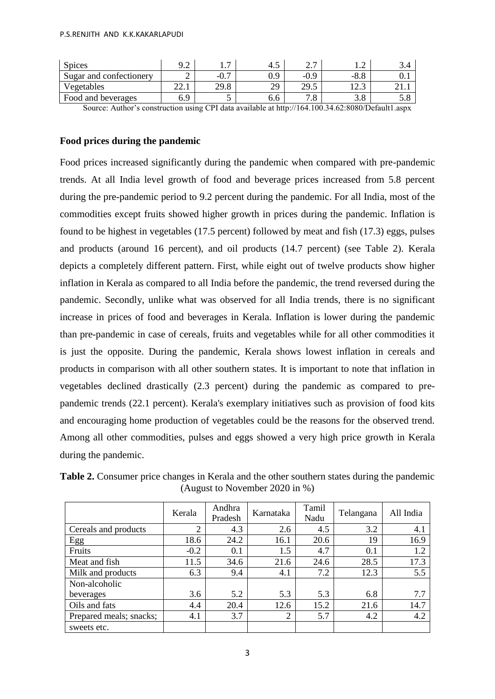#### P.S.RENJITH AND K.K.KAKARLAPUDI

| <b>Spices</b>           |       | <u>_</u><br>.  | 4.آ       | -<br>، ، ، |        | ◡-¬ |
|-------------------------|-------|----------------|-----------|------------|--------|-----|
| Sugar and confectionery |       | ∩ ¬<br>$-U.$ . | nΩ<br>v., | $-0.9$     | $-0.0$ | v.ı |
| Vegetables              | 44. l | 29.8           | 20        | 29.5       | .      |     |
| Food and beverages      | 6.9   |                | 0.0       | $\cdot$ O  | J.O    | ິ.∪ |

Source: Author's construction using CPI data available at http://164.100.34.62:8080/Default1.aspx

# **Food prices during the pandemic**

Food prices increased significantly during the pandemic when compared with pre-pandemic trends. At all India level growth of food and beverage prices increased from 5.8 percent during the pre-pandemic period to 9.2 percent during the pandemic. For all India, most of the commodities except fruits showed higher growth in prices during the pandemic. Inflation is found to be highest in vegetables (17.5 percent) followed by meat and fish (17.3) eggs, pulses and products (around 16 percent), and oil products (14.7 percent) (see Table 2). Kerala depicts a completely different pattern. First, while eight out of twelve products show higher inflation in Kerala as compared to all India before the pandemic, the trend reversed during the pandemic. Secondly, unlike what was observed for all India trends, there is no significant increase in prices of food and beverages in Kerala. Inflation is lower during the pandemic than pre-pandemic in case of cereals, fruits and vegetables while for all other commodities it is just the opposite. During the pandemic, Kerala shows lowest inflation in cereals and products in comparison with all other southern states. It is important to note that inflation in vegetables declined drastically (2.3 percent) during the pandemic as compared to prepandemic trends (22.1 percent). Kerala's exemplary initiatives such as provision of food kits and encouraging home production of vegetables could be the reasons for the observed trend. Among all other commodities, pulses and eggs showed a very high price growth in Kerala during the pandemic.

|                         | Kerala | Andhra<br>Pradesh | Karnataka      | Tamil<br>Nadu | Telangana | All India |
|-------------------------|--------|-------------------|----------------|---------------|-----------|-----------|
| Cereals and products    | ↑      | 4.3               | 2.6            | 4.5           | 3.2       | 4.1       |
| Egg                     | 18.6   | 24.2              | 16.1           | 20.6          | 19        | 16.9      |
| Fruits                  | $-0.2$ | 0.1               | 1.5            | 4.7           | 0.1       | 1.2       |
| Meat and fish           | 11.5   | 34.6              | 21.6           | 24.6          | 28.5      | 17.3      |
| Milk and products       | 6.3    | 9.4               | 4.1            | 7.2           | 12.3      | 5.5       |
| Non-alcoholic           |        |                   |                |               |           |           |
| beverages               | 3.6    | 5.2               | 5.3            | 5.3           | 6.8       | 7.7       |
| Oils and fats           | 4.4    | 20.4              | 12.6           | 15.2          | 21.6      | 14.7      |
| Prepared meals; snacks; | 4.1    | 3.7               | $\overline{2}$ | 5.7           | 4.2       | 4.2       |
| sweets etc.             |        |                   |                |               |           |           |

**Table 2.** Consumer price changes in Kerala and the other southern states during the pandemic (August to November 2020 in %)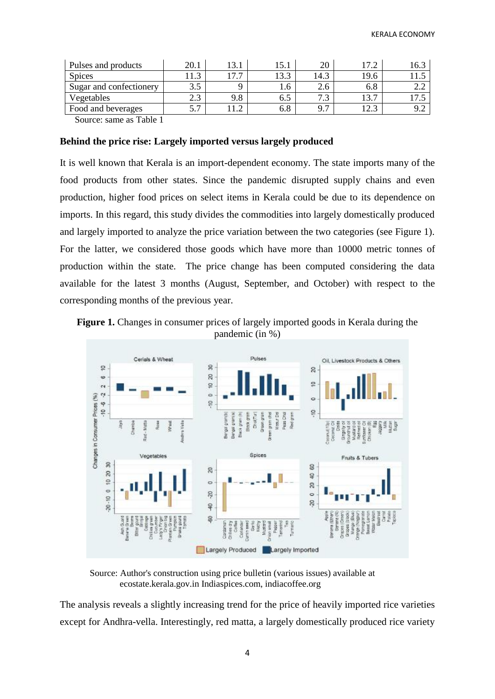| Pulses and products     | 20.1   | $\mathbf{z}$<br>1 J.J | 15.1            | 20   | 17 C | 16.3 |
|-------------------------|--------|-----------------------|-----------------|------|------|------|
| <b>Spices</b>           |        | $\mathbf{r}$<br>_     | 122             | 14.3 | 19.6 |      |
| Sugar and confectionery | 3.5    |                       | .6 <sub>1</sub> |      | 6.8  |      |
| Vegetables              | د. ک   | 9.8                   | 0.J             |      | 13.7 |      |
| Food and beverages      | _<br>. |                       | 6.8             | 0.7  | ≏ הו |      |
| $\sim$<br>____          |        |                       |                 |      |      |      |

Source: same as Table 1

# **Behind the price rise: Largely imported versus largely produced**

It is well known that Kerala is an import-dependent economy. The state imports many of the food products from other states. Since the pandemic disrupted supply chains and even production, higher food prices on select items in Kerala could be due to its dependence on imports. In this regard, this study divides the commodities into largely domestically produced and largely imported to analyze the price variation between the two categories (see Figure 1). For the latter, we considered those goods which have more than 10000 metric tonnes of production within the state. The price change has been computed considering the data available for the latest 3 months (August, September, and October) with respect to the corresponding months of the previous year.





Source: Author's construction using price bulletin (various issues) available at ecostate.kerala.gov.in Indiaspices.com, indiacoffee.org

The analysis reveals a slightly increasing trend for the price of heavily imported rice varieties except for Andhra-vella. Interestingly, red matta, a largely domestically produced rice variety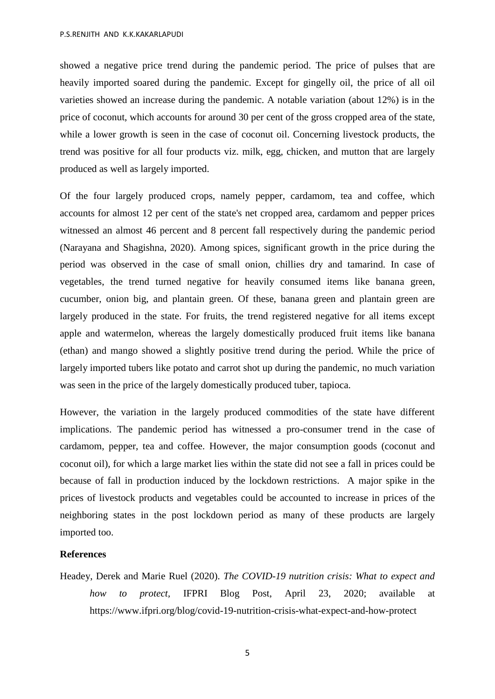P.S.RENJITH AND K.K.KAKARLAPUDI

showed a negative price trend during the pandemic period. The price of pulses that are heavily imported soared during the pandemic. Except for gingelly oil, the price of all oil varieties showed an increase during the pandemic. A notable variation (about 12%) is in the price of coconut, which accounts for around 30 per cent of the gross cropped area of the state, while a lower growth is seen in the case of coconut oil. Concerning livestock products, the trend was positive for all four products viz. milk, egg, chicken, and mutton that are largely produced as well as largely imported.

Of the four largely produced crops, namely pepper, cardamom, tea and coffee, which accounts for almost 12 per cent of the state's net cropped area, cardamom and pepper prices witnessed an almost 46 percent and 8 percent fall respectively during the pandemic period (Narayana and Shagishna, 2020). Among spices, significant growth in the price during the period was observed in the case of small onion, chillies dry and tamarind. In case of vegetables, the trend turned negative for heavily consumed items like banana green, cucumber, onion big, and plantain green. Of these, banana green and plantain green are largely produced in the state. For fruits, the trend registered negative for all items except apple and watermelon, whereas the largely domestically produced fruit items like banana (ethan) and mango showed a slightly positive trend during the period. While the price of largely imported tubers like potato and carrot shot up during the pandemic, no much variation was seen in the price of the largely domestically produced tuber, tapioca.

However, the variation in the largely produced commodities of the state have different implications. The pandemic period has witnessed a pro-consumer trend in the case of cardamom, pepper, tea and coffee. However, the major consumption goods (coconut and coconut oil), for which a large market lies within the state did not see a fall in prices could be because of fall in production induced by the lockdown restrictions. A major spike in the prices of livestock products and vegetables could be accounted to increase in prices of the neighboring states in the post lockdown period as many of these products are largely imported too.

## **References**

Headey, Derek and Marie Ruel (2020). *The COVID-19 nutrition crisis: What to expect and how to protect,* IFPRI Blog Post, April 23, 2020; available at https://www.ifpri.org/blog/covid-19-nutrition-crisis-what-expect-and-how-protect

5